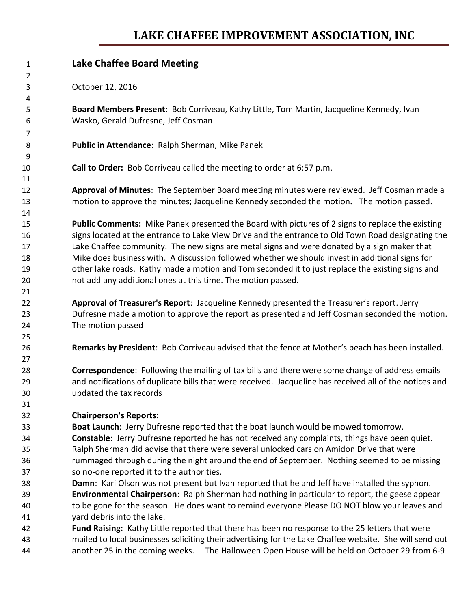## **LAKE CHAFFEE IMPROVEMENT ASSOCIATION, INC**

| $\mathbf{1}$   | <b>Lake Chaffee Board Meeting</b>                                                                                                           |
|----------------|---------------------------------------------------------------------------------------------------------------------------------------------|
| 2              |                                                                                                                                             |
| 3<br>4         | October 12, 2016                                                                                                                            |
| 5              | Board Members Present: Bob Corriveau, Kathy Little, Tom Martin, Jacqueline Kennedy, Ivan                                                    |
| 6              | Wasko, Gerald Dufresne, Jeff Cosman                                                                                                         |
| $\overline{7}$ |                                                                                                                                             |
| 8              | Public in Attendance: Ralph Sherman, Mike Panek                                                                                             |
| 9              |                                                                                                                                             |
| 10             | Call to Order: Bob Corriveau called the meeting to order at 6:57 p.m.                                                                       |
| 11             |                                                                                                                                             |
| 12             | Approval of Minutes: The September Board meeting minutes were reviewed. Jeff Cosman made a                                                  |
| 13             | motion to approve the minutes; Jacqueline Kennedy seconded the motion. The motion passed.                                                   |
| 14             |                                                                                                                                             |
| 15             | Public Comments: Mike Panek presented the Board with pictures of 2 signs to replace the existing                                            |
| 16             | signs located at the entrance to Lake View Drive and the entrance to Old Town Road designating the                                          |
| 17             | Lake Chaffee community. The new signs are metal signs and were donated by a sign maker that                                                 |
| 18             | Mike does business with. A discussion followed whether we should invest in additional signs for                                             |
| 19             | other lake roads. Kathy made a motion and Tom seconded it to just replace the existing signs and                                            |
| 20             | not add any additional ones at this time. The motion passed.                                                                                |
| 21             |                                                                                                                                             |
| 22             | Approval of Treasurer's Report: Jacqueline Kennedy presented the Treasurer's report. Jerry                                                  |
| 23             | Dufresne made a motion to approve the report as presented and Jeff Cosman seconded the motion.                                              |
| 24             | The motion passed                                                                                                                           |
| 25             |                                                                                                                                             |
| 26             | Remarks by President: Bob Corriveau advised that the fence at Mother's beach has been installed.                                            |
| 27             |                                                                                                                                             |
| 28             | Correspondence: Following the mailing of tax bills and there were some change of address emails                                             |
| 29             | and notifications of duplicate bills that were received. Jacqueline has received all of the notices and                                     |
| 30             | updated the tax records                                                                                                                     |
| 31             |                                                                                                                                             |
| 32             | <b>Chairperson's Reports:</b>                                                                                                               |
| 33             | Boat Launch: Jerry Dufresne reported that the boat launch would be mowed tomorrow.                                                          |
| 34             | Constable: Jerry Dufresne reported he has not received any complaints, things have been quiet.                                              |
| 35             | Ralph Sherman did advise that there were several unlocked cars on Amidon Drive that were                                                    |
| 36             | rummaged through during the night around the end of September. Nothing seemed to be missing                                                 |
| 37<br>38       | so no-one reported it to the authorities.<br>Damn: Kari Olson was not present but Ivan reported that he and Jeff have installed the syphon. |
| 39             | Environmental Chairperson: Ralph Sherman had nothing in particular to report, the geese appear                                              |
| 40             | to be gone for the season. He does want to remind everyone Please DO NOT blow your leaves and                                               |
| 41             | yard debris into the lake.                                                                                                                  |
| 42             | Fund Raising: Kathy Little reported that there has been no response to the 25 letters that were                                             |
| 43             | mailed to local businesses soliciting their advertising for the Lake Chaffee website. She will send out                                     |
| 44             | another 25 in the coming weeks.<br>The Halloween Open House will be held on October 29 from 6-9                                             |
|                |                                                                                                                                             |